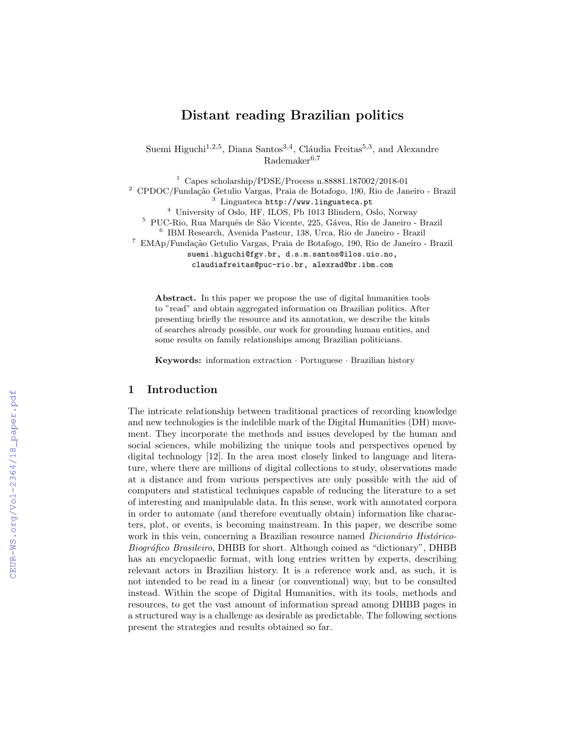# Distant reading Brazilian politics

Suemi Higuchi<sup>1,2,5</sup>, Diana Santos<sup>3,4</sup>, Cláudia Freitas<sup>5,3</sup>, and Alexandre  $Rademaker<sup>6,7</sup>$ 

<sup>1</sup> Capes scholarship/PDSE/Process n.88881.187002/2018-01 <sup>2</sup> CPDOC/Fundação Getulio Vargas, Praia de Botafogo, 190, Rio de Janeiro - Brazil <sup>3</sup> Linguateca http://www.linguateca.pt <sup>4</sup> University of Oslo, HF, ILOS, Pb 1013 Blindern, Oslo, Norway <sup>5</sup> PUC-Rio, Rua Marquês de São Vicente, 225, Gávea, Rio de Janeiro - Brazil 6 IBM Research, Avenida Pasteur, 138, Urca, Rio de Janeiro - Brazil <sup>7</sup> EMAp/Fundação Getulio Vargas, Praia de Botafogo, 190, Rio de Janeiro - Brazil suemi.higuchi@fgv.br, d.s.m.santos@ilos.uio.no, claudiafreitas@puc-rio.br, alexrad@br.ibm.com

Abstract. In this paper we propose the use of digital humanities tools to "read" and obtain aggregated information on Brazilian politics. After presenting briefly the resource and its annotation, we describe the kinds of searches already possible, our work for grounding human entities, and some results on family relationships among Brazilian politicians.

Keywords: information extraction · Portuguese · Brazilian history

## 1 Introduction

The intricate relationship between traditional practices of recording knowledge and new technologies is the indelible mark of the Digital Humanities (DH) movement. They incorporate the methods and issues developed by the human and social sciences, while mobilizing the unique tools and perspectives opened by digital technology [12]. In the area most closely linked to language and literature, where there are millions of digital collections to study, observations made at a distance and from various perspectives are only possible with the aid of computers and statistical techniques capable of reducing the literature to a set of interesting and manipulable data. In this sense, work with annotated corpora in order to automate (and therefore eventually obtain) information like characters, plot, or events, is becoming mainstream. In this paper, we describe some work in this vein, concerning a Brazilian resource named *Dicionário Histórico-*Biográfico Brasileiro, DHBB for short. Although coined as "dictionary", DHBB has an encyclopaedic format, with long entries written by experts, describing relevant actors in Brazilian history. It is a reference work and, as such, it is not intended to be read in a linear (or conventional) way, but to be consulted instead. Within the scope of Digital Humanities, with its tools, methods and resources, to get the vast amount of information spread among DHBB pages in a structured way is a challenge as desirable as predictable. The following sections present the strategies and results obtained so far.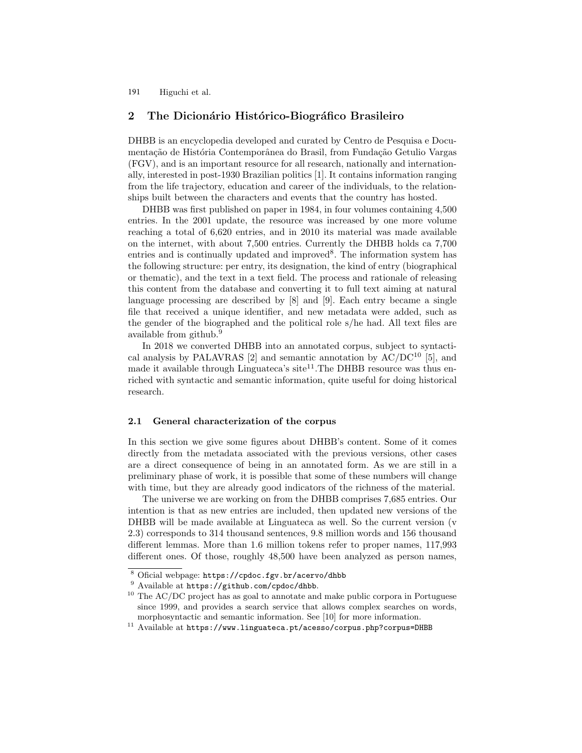## 2 The Dicionário Histórico-Biográfico Brasileiro

DHBB is an encyclopedia developed and curated by Centro de Pesquisa e Documentação de História Contemporânea do Brasil, from Fundação Getulio Vargas (FGV), and is an important resource for all research, nationally and internationally, interested in post-1930 Brazilian politics [1]. It contains information ranging from the life trajectory, education and career of the individuals, to the relationships built between the characters and events that the country has hosted.

DHBB was first published on paper in 1984, in four volumes containing 4,500 entries. In the 2001 update, the resource was increased by one more volume reaching a total of 6,620 entries, and in 2010 its material was made available on the internet, with about 7,500 entries. Currently the DHBB holds ca 7,700 entries and is continually updated and improved<sup>8</sup>. The information system has the following structure: per entry, its designation, the kind of entry (biographical or thematic), and the text in a text field. The process and rationale of releasing this content from the database and converting it to full text aiming at natural language processing are described by [8] and [9]. Each entry became a single file that received a unique identifier, and new metadata were added, such as the gender of the biographed and the political role s/he had. All text files are available from github.<sup>9</sup>

In 2018 we converted DHBB into an annotated corpus, subject to syntactical analysis by PALAVRAS  $[2]$  and semantic annotation by  $AC/DC^{10}$  [5], and made it available through Linguateca's site<sup>11</sup>. The DHBB resource was thus enriched with syntactic and semantic information, quite useful for doing historical research.

#### 2.1 General characterization of the corpus

In this section we give some figures about DHBB's content. Some of it comes directly from the metadata associated with the previous versions, other cases are a direct consequence of being in an annotated form. As we are still in a preliminary phase of work, it is possible that some of these numbers will change with time, but they are already good indicators of the richness of the material.

The universe we are working on from the DHBB comprises 7,685 entries. Our intention is that as new entries are included, then updated new versions of the DHBB will be made available at Linguateca as well. So the current version (v 2.3) corresponds to 314 thousand sentences, 9.8 million words and 156 thousand different lemmas. More than 1.6 million tokens refer to proper names, 117,993 different ones. Of those, roughly 48,500 have been analyzed as person names,

<sup>8</sup> Oficial webpage: https://cpdoc.fgv.br/acervo/dhbb

<sup>&</sup>lt;sup>9</sup> Available at https://github.com/cpdoc/dhbb.

<sup>10</sup> The AC/DC project has as goal to annotate and make public corpora in Portuguese since 1999, and provides a search service that allows complex searches on words, morphosyntactic and semantic information. See [10] for more information.

 $11$  Available at https://www.linguateca.pt/acesso/corpus.php?corpus=DHBB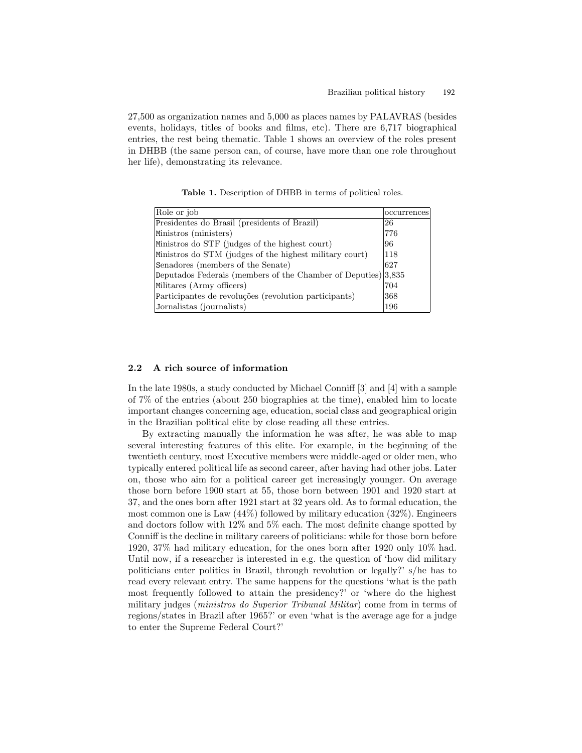27,500 as organization names and 5,000 as places names by PALAVRAS (besides events, holidays, titles of books and films, etc). There are 6,717 biographical entries, the rest being thematic. Table 1 shows an overview of the roles present in DHBB (the same person can, of course, have more than one role throughout her life), demonstrating its relevance.

Table 1. Description of DHBB in terms of political roles.

| Role or job                                                   | occurrences |
|---------------------------------------------------------------|-------------|
|                                                               |             |
| Presidentes do Brasil (presidents of Brazil)                  | 26          |
| Ministros (ministers)                                         | 776         |
| Ministros do STF (judges of the highest court)                | 96          |
| Ministros do STM (judges of the highest military court)       | 118         |
| Senadores (members of the Senate)                             | 627         |
| Deputados Federais (members of the Chamber of Deputies) 3,835 |             |
| Militares (Army officers)                                     | 704         |
| Participantes de revoluções (revolution participants)         | 368         |
| Jornalistas (journalists)                                     | 196         |

#### 2.2 A rich source of information

In the late 1980s, a study conducted by Michael Conniff [3] and [4] with a sample of 7% of the entries (about 250 biographies at the time), enabled him to locate important changes concerning age, education, social class and geographical origin in the Brazilian political elite by close reading all these entries.

By extracting manually the information he was after, he was able to map several interesting features of this elite. For example, in the beginning of the twentieth century, most Executive members were middle-aged or older men, who typically entered political life as second career, after having had other jobs. Later on, those who aim for a political career get increasingly younger. On average those born before 1900 start at 55, those born between 1901 and 1920 start at 37, and the ones born after 1921 start at 32 years old. As to formal education, the most common one is Law  $(44\%)$  followed by military education  $(32\%)$ . Engineers and doctors follow with 12% and 5% each. The most definite change spotted by Conniff is the decline in military careers of politicians: while for those born before 1920, 37% had military education, for the ones born after 1920 only 10% had. Until now, if a researcher is interested in e.g. the question of 'how did military politicians enter politics in Brazil, through revolution or legally?' s/he has to read every relevant entry. The same happens for the questions 'what is the path most frequently followed to attain the presidency?' or 'where do the highest military judges (ministros do Superior Tribunal Militar) come from in terms of regions/states in Brazil after 1965?' or even 'what is the average age for a judge to enter the Supreme Federal Court?'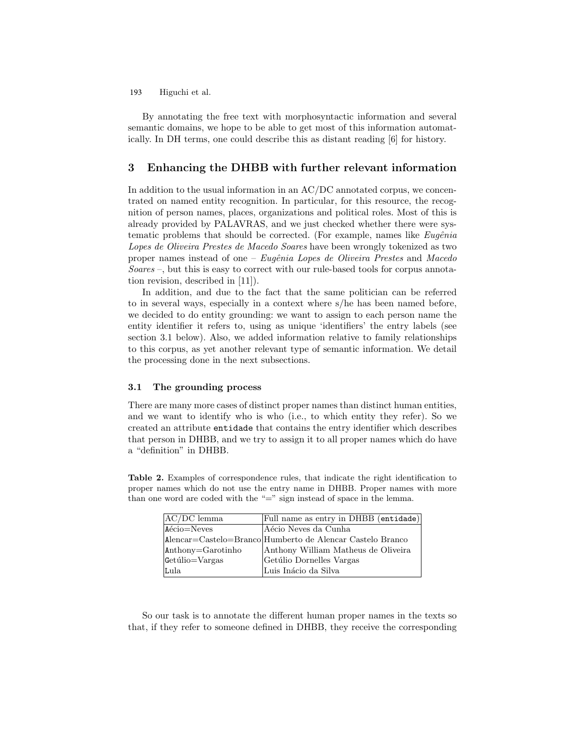By annotating the free text with morphosyntactic information and several semantic domains, we hope to be able to get most of this information automatically. In DH terms, one could describe this as distant reading [6] for history.

## 3 Enhancing the DHBB with further relevant information

In addition to the usual information in an AC/DC annotated corpus, we concentrated on named entity recognition. In particular, for this resource, the recognition of person names, places, organizations and political roles. Most of this is already provided by PALAVRAS, and we just checked whether there were systematic problems that should be corrected. (For example, names like  $Eug\hat{e}nia$ Lopes de Oliveira Prestes de Macedo Soares have been wrongly tokenized as two proper names instead of one – Eugênia Lopes de Oliveira Prestes and Macedo Soares –, but this is easy to correct with our rule-based tools for corpus annotation revision, described in [11]).

In addition, and due to the fact that the same politician can be referred to in several ways, especially in a context where s/he has been named before, we decided to do entity grounding: we want to assign to each person name the entity identifier it refers to, using as unique 'identifiers' the entry labels (see section 3.1 below). Also, we added information relative to family relationships to this corpus, as yet another relevant type of semantic information. We detail the processing done in the next subsections.

### 3.1 The grounding process

There are many more cases of distinct proper names than distinct human entities, and we want to identify who is who (i.e., to which entity they refer). So we created an attribute entidade that contains the entry identifier which describes that person in DHBB, and we try to assign it to all proper names which do have a "definition" in DHBB.

Table 2. Examples of correspondence rules, that indicate the right identification to proper names which do not use the entry name in DHBB. Proper names with more than one word are coded with the " $=$ " sign instead of space in the lemma.

| $AC/DC$ lemma         | Full name as entry in DHBB (entidade)                     |
|-----------------------|-----------------------------------------------------------|
| Aécio=Neves           | Aécio Neves da Cunha                                      |
|                       | Alencar=Castelo=Branco Humberto de Alencar Castelo Branco |
| $ $ Anthony=Garotinho | Anthony William Matheus de Oliveira                       |
| $\det$ ulio=Vargas    | Getúlio Dornelles Vargas                                  |
| Lula                  | Luis Inácio da Silva                                      |

So our task is to annotate the different human proper names in the texts so that, if they refer to someone defined in DHBB, they receive the corresponding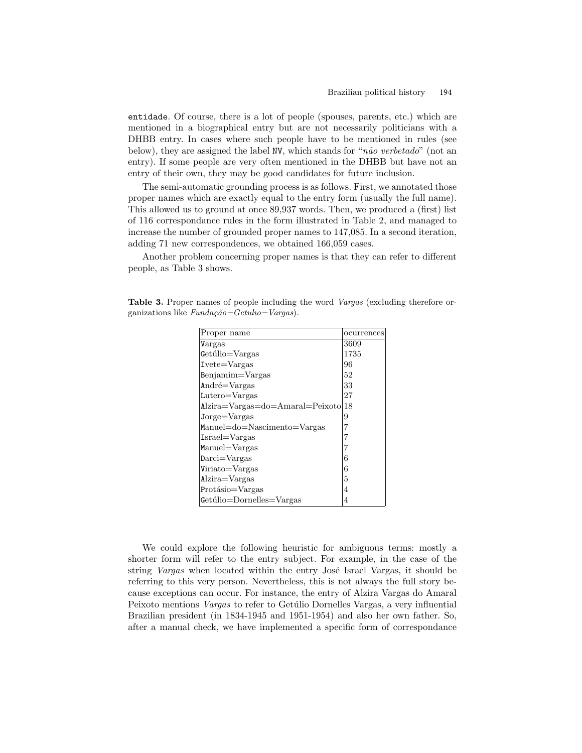entidade. Of course, there is a lot of people (spouses, parents, etc.) which are mentioned in a biographical entry but are not necessarily politicians with a DHBB entry. In cases where such people have to be mentioned in rules (see below), they are assigned the label NV, which stands for " $n\tilde{a}o$  verbetado" (not an entry). If some people are very often mentioned in the DHBB but have not an entry of their own, they may be good candidates for future inclusion.

The semi-automatic grounding process is as follows. First, we annotated those proper names which are exactly equal to the entry form (usually the full name). This allowed us to ground at once 89,937 words. Then, we produced a (first) list of 116 correspondance rules in the form illustrated in Table 2, and managed to increase the number of grounded proper names to 147,085. In a second iteration, adding 71 new correspondences, we obtained 166,059 cases.

Another problem concerning proper names is that they can refer to different people, as Table 3 shows.

| Proper name                                                                  | ocurrences |
|------------------------------------------------------------------------------|------------|
| Vargas                                                                       | 3609       |
| Getúlio=Vargas                                                               | 1735       |
| $I\nvete = Vargas$                                                           | 96         |
| $Benjamin = Vargas$                                                          | 52         |
| $Andr\acute{e} = Vargas$                                                     | 33         |
| $Lutero=Vargas$                                                              | 27         |
| $\text{Alzira} = \text{Vargas} = \text{do} = \text{Amaral} = \text{Peixoto}$ | 18         |
| $Jorge=Vargas$                                                               | 9          |
| Manuel=do=Nascimento=Vargas                                                  | 7          |
| $Israel = Vargas$                                                            | 7          |
| Manuel=Vargas                                                                |            |
| $\text{Darci} = \text{Vargas}$                                               | 6          |
| Viriato=Vargas                                                               | 6          |
| Alzira=Vargas                                                                | 5          |
| Protásio=Vargas                                                              | 4          |
| Getúlio=Dornelles=Vargas                                                     | 4          |

Table 3. Proper names of people including the word Vargas (excluding therefore organizations like  $Fundação = Getulio=Vargas$ .

We could explore the following heuristic for ambiguous terms: mostly a shorter form will refer to the entry subject. For example, in the case of the string Vargas when located within the entry José Israel Vargas, it should be referring to this very person. Nevertheless, this is not always the full story because exceptions can occur. For instance, the entry of Alzira Vargas do Amaral Peixoto mentions *Vargas* to refer to Getúlio Dornelles Vargas, a very influential Brazilian president (in 1834-1945 and 1951-1954) and also her own father. So, after a manual check, we have implemented a specific form of correspondance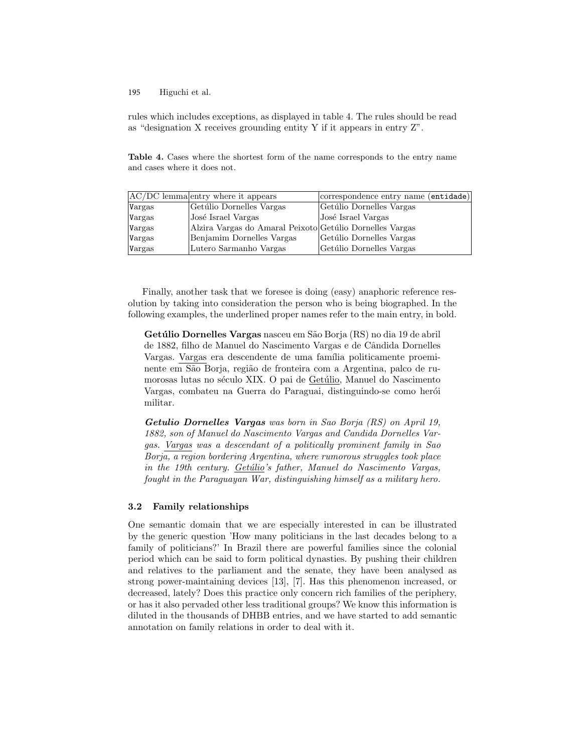rules which includes exceptions, as displayed in table 4. The rules should be read as "designation X receives grounding entity Y if it appears in entry Z".

Table 4. Cases where the shortest form of the name corresponds to the entry name and cases where it does not.

|        | $ AC/DC $ lemma entry where it appears                   | correspondence entry name (entidade) |
|--------|----------------------------------------------------------|--------------------------------------|
| Vargas | Getúlio Dornelles Vargas                                 | Getúlio Dornelles Vargas             |
| Vargas | José Israel Vargas                                       | José Israel Vargas                   |
| Vargas | Alzira Vargas do Amaral Peixoto Getúlio Dornelles Vargas |                                      |
| Vargas | Benjamim Dornelles Vargas                                | Getúlio Dornelles Vargas             |
| Vargas | Lutero Sarmanho Vargas                                   | Getúlio Dornelles Vargas             |

Finally, another task that we foresee is doing (easy) anaphoric reference resolution by taking into consideration the person who is being biographed. In the following examples, the underlined proper names refer to the main entry, in bold.

Getúlio Dornelles Vargas nasceu em São Borja (RS) no dia 19 de abril de 1882, filho de Manuel do Nascimento Vargas e de Cândida Dornelles Vargas. Vargas era descendente de uma família politicamente proeminente em São Borja, região de fronteira com a Argentina, palco de rumorosas lutas no século XIX. O pai de Getúlio, Manuel do Nascimento Vargas, combateu na Guerra do Paraguai, distinguindo-se como herói militar.

Getulio Dornelles Vargas was born in Sao Borja (RS) on April 19, 1882, son of Manuel do Nascimento Vargas and Candida Dornelles Vargas. Vargas was a descendant of a politically prominent family in Sao Borja, a region bordering Argentina, where rumorous struggles took place in the 19th century.  $Getúlio's father$ , Manuel do Nascimento Vargas, fought in the Paraguayan War, distinguishing himself as a military hero.

### 3.2 Family relationships

One semantic domain that we are especially interested in can be illustrated by the generic question 'How many politicians in the last decades belong to a family of politicians?' In Brazil there are powerful families since the colonial period which can be said to form political dynasties. By pushing their children and relatives to the parliament and the senate, they have been analysed as strong power-maintaining devices [13], [7]. Has this phenomenon increased, or decreased, lately? Does this practice only concern rich families of the periphery, or has it also pervaded other less traditional groups? We know this information is diluted in the thousands of DHBB entries, and we have started to add semantic annotation on family relations in order to deal with it.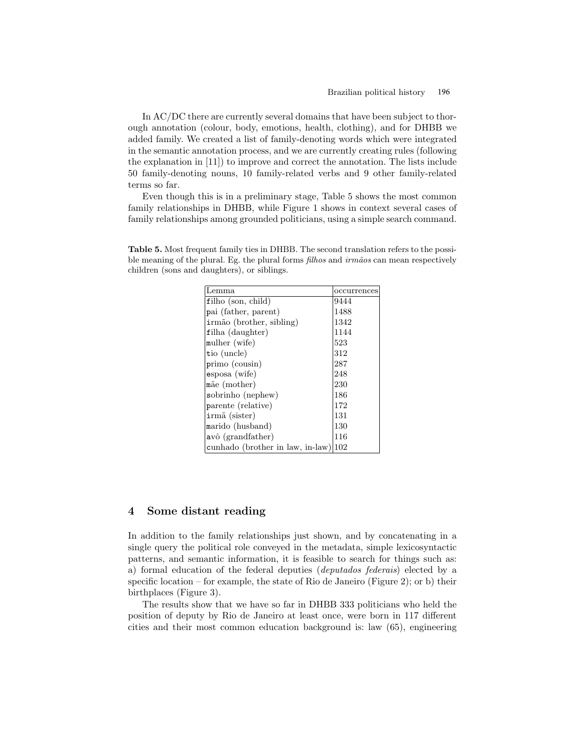In AC/DC there are currently several domains that have been subject to thorough annotation (colour, body, emotions, health, clothing), and for DHBB we added family. We created a list of family-denoting words which were integrated in the semantic annotation process, and we are currently creating rules (following the explanation in [11]) to improve and correct the annotation. The lists include 50 family-denoting nouns, 10 family-related verbs and 9 other family-related terms so far.

Even though this is in a preliminary stage, Table 5 shows the most common family relationships in DHBB, while Figure 1 shows in context several cases of family relationships among grounded politicians, using a simple search command.

| Lemma                            | occurrences |
|----------------------------------|-------------|
| $\text{filho}$ (son, child)      | 9444        |
| pai (father, parent)             | 1488        |
| irmão (brother, sibling)         | 1342        |
| filha (daughter)                 | 1144        |
| mulher (wife)                    | 523         |
| tio (uncle)                      | 312         |
| $primo$ (cousin)                 | 287         |
| esposa (wife)                    | 248         |
| mãe (mother)                     | 230         |
| sobrinho (nephew)                | 186         |
| parente (relative)               | 172         |
| $irm\tilde{a}$ (sister)          | 131         |
| marido (husband)                 | 130         |
| avô (grandfather)                | 116         |
| cunhado (brother in law, in-law) | 102         |

Table 5. Most frequent family ties in DHBB. The second translation refers to the possible meaning of the plural. Eg. the plural forms *filhos* and  $irm\tilde{a}os$  can mean respectively children (sons and daughters), or siblings.

## 4 Some distant reading

In addition to the family relationships just shown, and by concatenating in a single query the political role conveyed in the metadata, simple lexicosyntactic patterns, and semantic information, it is feasible to search for things such as: a) formal education of the federal deputies (deputados federais) elected by a specific location – for example, the state of Rio de Janeiro (Figure 2); or b) their birthplaces (Figure 3).

The results show that we have so far in DHBB 333 politicians who held the position of deputy by Rio de Janeiro at least once, were born in 117 different cities and their most common education background is: law (65), engineering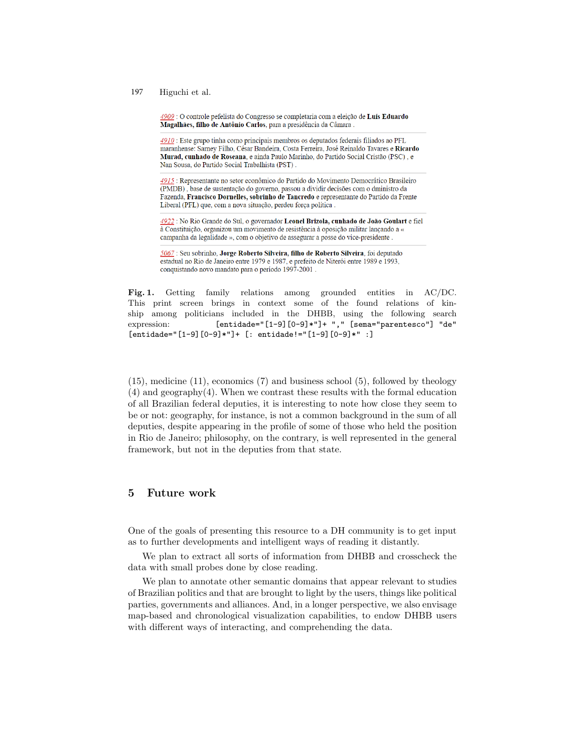4909 : O controle pefelista do Congresso se completaria com a eleição de Luís Eduardo Magalhães, filho de Antônio Carlos, para a presidência da Câmara.

4910 : Este grupo tinha como principais membros os deputados federais filiados ao PFL maranhense: Sarney Filho, César Bandeira, Costa Ferreira, José Reinaldo Tavares e Ricardo Murad, cunhado de Roseana, e ainda Paulo Marinho, do Partido Social Cristão (PSC), e Nan Sousa, do Partido Social Trabalhista (PST).

4915 : Representante no setor econômico do Partido do Movimento Democrático Brasileiro (PMDB), base de sustentação do governo, passou a dividir decisões com o dministro da Fazenda, Francisco Dornelles, sobrinho de Tancredo e representante do Partido da Frente Liberal (PFL) que, com a nova situação, perdeu força política.

4922 : No Rio Grande do Sul, o governador Leonel Brizola, cunhado de João Goulart e fiel à Constituição, organizou um movimento de resistência à oposição militar lançando a « campanha da legalidade », com o objetivo de assegurar a posse do vice-presidente.

5067 : Seu sobrinho, Jorge Roberto Silveira, filho de Roberto Silveira, foi deputado estadual no Rio de Janeiro entre 1979 e 1987, e prefeito de Niterói entre 1989 e 1993, conquistando novo mandato para o período 1997-2001.

Fig. 1. Getting family relations among grounded entities in AC/DC. This print screen brings in context some of the found relations of kinship among politicians included in the DHBB, using the following search expression: [entidade="[1-9][0-9]\*"]+ "," [sema="parentesco"] "de" [entidade="[1-9][0-9]\*"]+ [: entidade!="[1-9][0-9]\*" :]

(15), medicine (11), economics (7) and business school (5), followed by theology (4) and geography(4). When we contrast these results with the formal education of all Brazilian federal deputies, it is interesting to note how close they seem to be or not: geography, for instance, is not a common background in the sum of all deputies, despite appearing in the profile of some of those who held the position in Rio de Janeiro; philosophy, on the contrary, is well represented in the general framework, but not in the deputies from that state.

## 5 Future work

One of the goals of presenting this resource to a DH community is to get input as to further developments and intelligent ways of reading it distantly.

We plan to extract all sorts of information from DHBB and crosscheck the data with small probes done by close reading.

We plan to annotate other semantic domains that appear relevant to studies of Brazilian politics and that are brought to light by the users, things like political parties, governments and alliances. And, in a longer perspective, we also envisage map-based and chronological visualization capabilities, to endow DHBB users with different ways of interacting, and comprehending the data.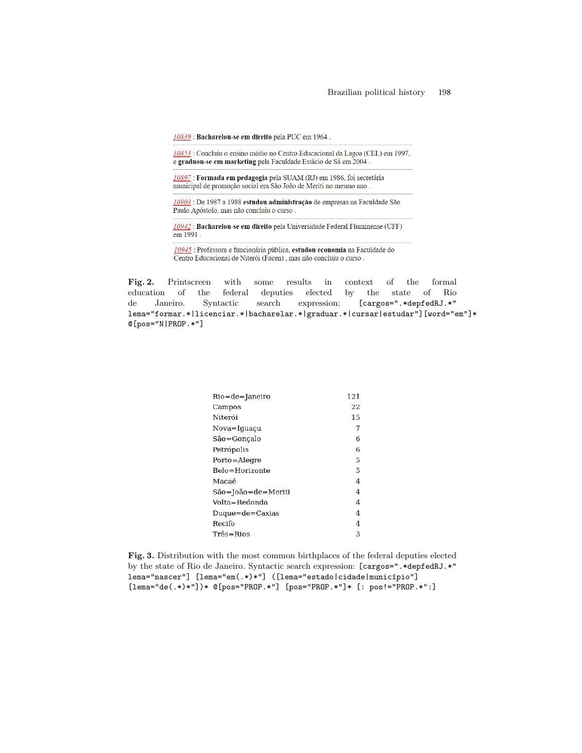10839 : Bacharelou-se em direito pela PUC em 1964.

10853 : Concluiu o ensino médio no Centro Educacional da Lagoa (CEL) em 1997, e graduou-se em marketing pela Faculdade Estácio de Sá em 2004.

10897: Formada em pedagogia pela SUAM (RJ) em 1986, foi secretária municipal de promoção social em São João de Meriti no mesmo ano.

10903 : De 1987 a 1988 estudou administração de empresas na Faculdade São Paulo Apóstolo, mas não concluiu o curso.

10942 : Bacharelou-se em direito pela Universidade Federal Fluminense (UFF)  $\frac{1}{2}$ em 1991.

10945 : Professora e funcionária pública, estudou economia na Faculdade do Centro Educacional de Niterói (Facen), mas não concluiu o curso.

Fig. 2. Printscreen with some results in context of the formal education of the federal deputies elected by the state of Rio de Janeiro. Syntactic search expression: [cargos=".\*depfedRJ.\*" lema="formar.\*|licenciar.\*|bacharelar.\*|graduar.\*|cursar|estudar"][word="em"]\* @[pos="N|PROP.\*"]

| Rio=de=Janeiro     | 121 |
|--------------------|-----|
| Campos             | 22  |
| Niterói            | 15  |
| Nova=Iguaçu        | 7   |
| São=Gonçalo        | 6   |
| Petrópolis         | 6   |
| Porto=Alegre       | 5   |
| Belo=Horizonte     | 5   |
| Macaé              | 4   |
| São=João=de=Meriti | 4   |
| Volta=Redonda      | 4   |
| Duque=de=Caxias    | 4   |
| Recife             | 4   |
| Três=Rios          | 3   |
|                    |     |

Fig. 3. Distribution with the most common birthplaces of the federal deputies elected by the state of Rio de Janeiro. Syntactic search expression: [cargos=".\*depfedRJ.\*" lema="nascer"] [lema="em(.\*)\*"] ([lema="estado|cidade|município"] [lema="de(.\*)\*"])\* @[pos="PROP.\*"] [pos="PROP.\*"]\* [: pos!="PROP.\*":]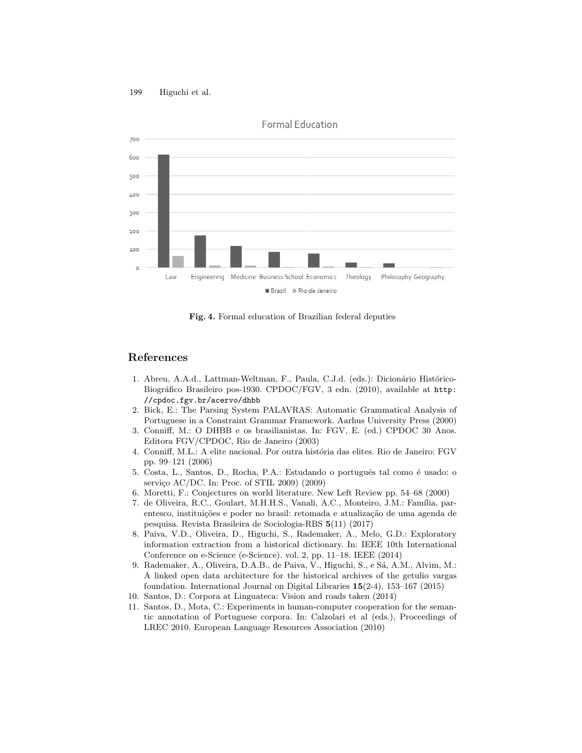

Fig. 4. Formal education of Brazilian federal deputies

## References

- 1. Abreu, A.A.d., Lattman-Weltman, F., Paula, C.J.d. (eds.): Dicionário Histórico-Biográfico Brasileiro pos-1930. CPDOC/FGV, 3 edn. (2010), available at http: //cpdoc.fgv.br/acervo/dhbb
- 2. Bick, E.: The Parsing System PALAVRAS: Automatic Grammatical Analysis of Portuguese in a Constraint Grammar Framework. Aarhus University Press (2000)
- 3. Conniff, M.: O DHBB e os brasilianistas. In: FGV, E. (ed.) CPDOC 30 Anos. Editora FGV/CPDOC, Rio de Janeiro (2003)
- 4. Conniff, M.L.: A elite nacional. Por outra história das elites. Rio de Janeiro: FGV pp. 99–121 (2006)
- 5. Costa, L., Santos, D., Rocha, P.A.: Estudando o português tal como é usado: o serviço AC/DC. In: Proc. of STIL  $2009$ )  $(2009)$
- 6. Moretti, F.: Conjectures on world literature. New Left Review pp. 54–68 (2000)
- 7. de Oliveira, R.C., Goulart, M.H.H.S., Vanali, A.C., Monteiro, J.M.: Família, parentesco, instituições e poder no brasil: retomada e atualização de uma agenda de pesquisa. Revista Brasileira de Sociologia-RBS 5(11) (2017)
- 8. Paiva, V.D., Oliveira, D., Higuchi, S., Rademaker, A., Melo, G.D.: Exploratory information extraction from a historical dictionary. In: IEEE 10th International Conference on e-Science (e-Science). vol. 2, pp. 11–18. IEEE (2014)
- 9. Rademaker, A., Oliveira, D.A.B., de Paiva, V., Higuchi, S., e Sá, A.M., Alvim, M.: A linked open data architecture for the historical archives of the getulio vargas foundation. International Journal on Digital Libraries 15(2-4), 153–167 (2015)
- 10. Santos, D.: Corpora at Linguateca: Vision and roads taken (2014)
- 11. Santos, D., Mota, C.: Experiments in human-computer cooperation for the semantic annotation of Portuguese corpora. In: Calzolari et al (eds.), Proceedings of LREC 2010. European Language Resources Association (2010)